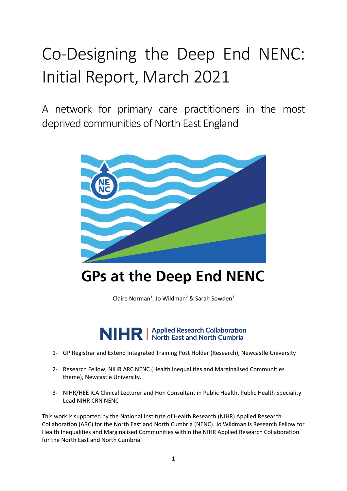# Co-Designing the Deep End NENC: Initial Report, March 2021

A network for primary care practitioners in the most deprived communities of North East England



## **GPs at the Deep End NENC**

Claire Norman<sup>1</sup>, Jo Wildman<sup>2</sup> & Sarah Sowden<sup>3</sup>

NIHR | Applied Research Collaboration

- 1- GP Registrar and Extend Integrated Training Post Holder (Research), Newcastle University
- 2- Research Fellow, NIHR ARC NENC (Health Inequalities and Marginalised Communities theme), Newcastle University.
- 3- NIHR/HEE ICA Clinical Lecturer and Hon Consultant in Public Health, Public Health Speciality Lead NIHR CRN NENC

This work is supported by the National Institute of Health Research (NIHR) Applied Research Collaboration (ARC) for the North East and North Cumbria (NENC). Jo Wildman is Research Fellow for Health Inequalities and Marginalised Communities within the NIHR Applied Research Collaboration for the North East and North Cumbria.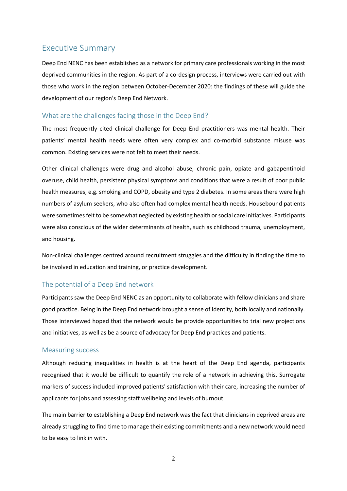## <span id="page-1-0"></span>Executive Summary

Deep End NENC has been established as a network for primary care professionals working in the most deprived communities in the region. As part of a co-design process, interviews were carried out with those who work in the region between October-December 2020: the findings of these will guide the development of our region's Deep End Network.

#### <span id="page-1-1"></span>What are the challenges facing those in the Deep End?

The most frequently cited clinical challenge for Deep End practitioners was mental health. Their patients' mental health needs were often very complex and co-morbid substance misuse was common. Existing services were not felt to meet their needs.

Other clinical challenges were drug and alcohol abuse, chronic pain, opiate and gabapentinoid overuse, child health, persistent physical symptoms and conditions that were a result of poor public health measures, e.g. smoking and COPD, obesity and type 2 diabetes. In some areas there were high numbers of asylum seekers, who also often had complex mental health needs. Housebound patients were sometimes felt to be somewhat neglected by existing health or social care initiatives. Participants were also conscious of the wider determinants of health, such as childhood trauma, unemployment, and housing.

Non-clinical challenges centred around recruitment struggles and the difficulty in finding the time to be involved in education and training, or practice development.

#### <span id="page-1-2"></span>The potential of a Deep End network

Participants saw the Deep End NENC as an opportunity to collaborate with fellow clinicians and share good practice. Being in the Deep End network brought a sense of identity, both locally and nationally. Those interviewed hoped that the network would be provide opportunities to trial new projections and initiatives, as well as be a source of advocacy for Deep End practices and patients.

#### <span id="page-1-3"></span>Measuring success

Although reducing inequalities in health is at the heart of the Deep End agenda, participants recognised that it would be difficult to quantify the role of a network in achieving this. Surrogate markers of success included improved patients' satisfaction with their care, increasing the number of applicants for jobs and assessing staff wellbeing and levels of burnout.

The main barrier to establishing a Deep End network was the fact that clinicians in deprived areas are already struggling to find time to manage their existing commitments and a new network would need to be easy to link in with.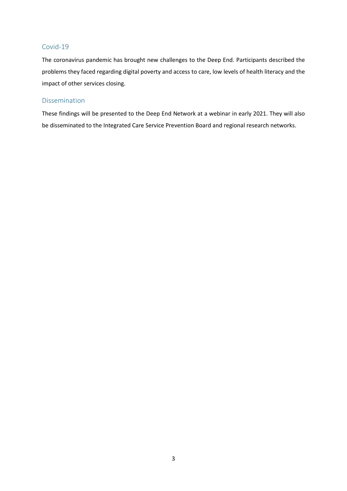#### <span id="page-2-0"></span>Covid-19

The coronavirus pandemic has brought new challenges to the Deep End. Participants described the problems they faced regarding digital poverty and access to care, low levels of health literacy and the impact of other services closing.

#### <span id="page-2-1"></span>Dissemination

These findings will be presented to the Deep End Network at a webinar in early 2021. They will also be disseminated to the Integrated Care Service Prevention Board and regional research networks.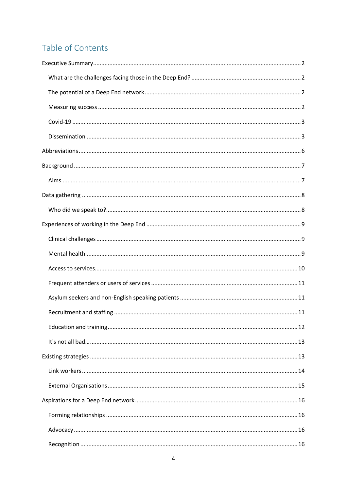## Table of Contents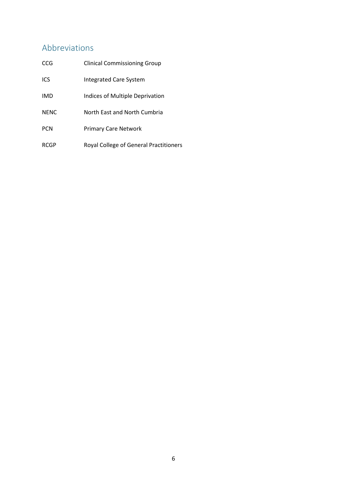## <span id="page-5-0"></span>Abbreviations

| CCG         | <b>Clinical Commissioning Group</b>    |
|-------------|----------------------------------------|
| ICS         | Integrated Care System                 |
| <b>IMD</b>  | Indices of Multiple Deprivation        |
| <b>NENC</b> | North East and North Cumbria           |
| <b>PCN</b>  | <b>Primary Care Network</b>            |
| <b>RCGP</b> | Royal College of General Practitioners |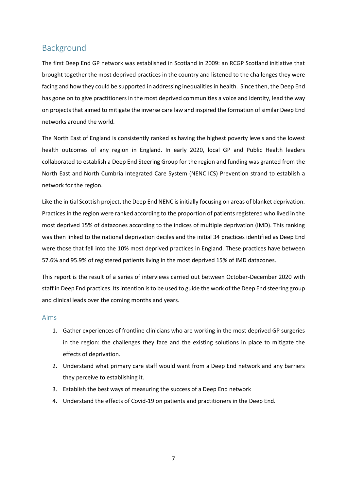## <span id="page-6-0"></span>Background

The first Deep End GP network was established in Scotland in 2009: an RCGP Scotland initiative that brought together the most deprived practices in the country and listened to the challenges they were facing and how they could be supported in addressing inequalities in health. Since then, the Deep End has gone on to give practitioners in the most deprived communities a voice and identity, lead the way on projects that aimed to mitigate the inverse care law and inspired the formation of similar Deep End networks around the world.

The North East of England is consistently ranked as having the highest poverty levels and the lowest health outcomes of any region in England. In early 2020, local GP and Public Health leaders collaborated to establish a Deep End Steering Group for the region and funding was granted from the North East and North Cumbria Integrated Care System (NENC ICS) Prevention strand to establish a network for the region.

Like the initial Scottish project, the Deep End NENC is initially focusing on areas of blanket deprivation. Practices in the region were ranked according to the proportion of patients registered who lived in the most deprived 15% of datazones according to the indices of multiple deprivation (IMD). This ranking was then linked to the national deprivation deciles and the initial 34 practices identified as Deep End were those that fell into the 10% most deprived practices in England. These practices have between 57.6% and 95.9% of registered patients living in the most deprived 15% of IMD datazones.

This report is the result of a series of interviews carried out between October-December 2020 with staff in Deep End practices. Its intention is to be used to guide the work of the Deep End steering group and clinical leads over the coming months and years.

#### <span id="page-6-1"></span>Aims

- 1. Gather experiences of frontline clinicians who are working in the most deprived GP surgeries in the region: the challenges they face and the existing solutions in place to mitigate the effects of deprivation.
- 2. Understand what primary care staff would want from a Deep End network and any barriers they perceive to establishing it.
- 3. Establish the best ways of measuring the success of a Deep End network
- 4. Understand the effects of Covid-19 on patients and practitioners in the Deep End.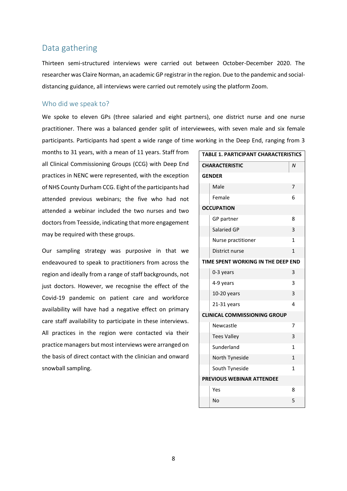## <span id="page-7-0"></span>Data gathering

Thirteen semi-structured interviews were carried out between October-December 2020. The researcher was Claire Norman, an academic GP registrar in the region. Due to the pandemic and socialdistancing guidance, all interviews were carried out remotely using the platform Zoom.

#### <span id="page-7-1"></span>Who did we speak to?

We spoke to eleven GPs (three salaried and eight partners), one district nurse and one nurse practitioner. There was a balanced gender split of interviewees, with seven male and six female participants. Participants had spent a wide range of time working in the Deep End, ranging from 3

months to 31 years, with a mean of 11 years. Staff from all Clinical Commissioning Groups (CCG) with Deep End practices in NENC were represented, with the exception of NHS County Durham CCG. Eight of the participants had attended previous webinars; the five who had not attended a webinar included the two nurses and two doctors from Teesside, indicating that more engagement may be required with these groups.

Our sampling strategy was purposive in that we endeavoured to speak to practitioners from across the region and ideally from a range of staff backgrounds, not just doctors. However, we recognise the effect of the Covid-19 pandemic on patient care and workforce availability will have had a negative effect on primary care staff availability to participate in these interviews. All practices in the region were contacted via their practice managers but most interviews were arranged on the basis of direct contact with the clinician and onward snowball sampling.

| <b>TABLE 1. PARTICIPANT CHARACTERISTICS</b> |                       |              |  |  |
|---------------------------------------------|-----------------------|--------------|--|--|
|                                             | <b>CHARACTERISTIC</b> | N            |  |  |
| <b>GENDER</b>                               |                       |              |  |  |
|                                             | Male                  | 7            |  |  |
|                                             | Female                | 6            |  |  |
| <b>OCCUPATION</b>                           |                       |              |  |  |
|                                             | GP partner            | 8            |  |  |
|                                             | Salaried GP           | 3            |  |  |
|                                             | Nurse practitioner    | 1            |  |  |
|                                             | District nurse        | 1            |  |  |
| TIME SPENT WORKING IN THE DEEP END          |                       |              |  |  |
|                                             | 0-3 years             | 3            |  |  |
|                                             | 4-9 years             | 3            |  |  |
|                                             | 10-20 years           | 3            |  |  |
|                                             | 21-31 years           | 4            |  |  |
| <b>CLINICAL COMMISSIONING GROUP</b>         |                       |              |  |  |
|                                             | Newcastle             | 7            |  |  |
|                                             | <b>Tees Valley</b>    | 3            |  |  |
|                                             | Sunderland            | $\mathbf{1}$ |  |  |
|                                             | North Tyneside        | $\mathbf{1}$ |  |  |
|                                             | South Tyneside        | 1            |  |  |
| PREVIOUS WEBINAR ATTENDEE                   |                       |              |  |  |
|                                             | Yes                   | 8            |  |  |
|                                             | No                    | 5            |  |  |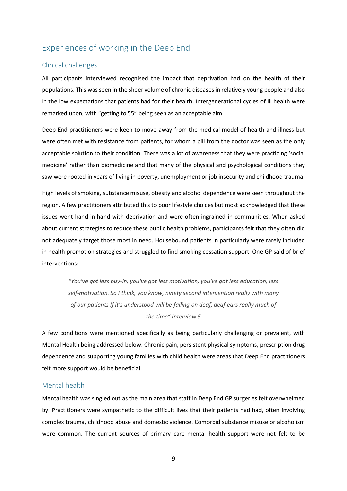## <span id="page-8-0"></span>Experiences of working in the Deep End

#### <span id="page-8-1"></span>Clinical challenges

All participants interviewed recognised the impact that deprivation had on the health of their populations. This was seen in the sheer volume of chronic diseases in relatively young people and also in the low expectations that patients had for their health. Intergenerational cycles of ill health were remarked upon, with "getting to 55" being seen as an acceptable aim.

Deep End practitioners were keen to move away from the medical model of health and illness but were often met with resistance from patients, for whom a pill from the doctor was seen as the only acceptable solution to their condition. There was a lot of awareness that they were practicing 'social medicine' rather than biomedicine and that many of the physical and psychological conditions they saw were rooted in years of living in poverty, unemployment or job insecurity and childhood trauma.

High levels of smoking, substance misuse, obesity and alcohol dependence were seen throughout the region. A few practitioners attributed this to poor lifestyle choices but most acknowledged that these issues went hand-in-hand with deprivation and were often ingrained in communities. When asked about current strategies to reduce these public health problems, participants felt that they often did not adequately target those most in need. Housebound patients in particularly were rarely included in health promotion strategies and struggled to find smoking cessation support. One GP said of brief interventions:

*"You've got less buy-in, you've got less motivation, you've got less education, less self-motivation. So I think, you know, ninety second intervention really with many of our patients If it's understood will be falling on deaf, deaf ears really much of the time" Interview 5*

A few conditions were mentioned specifically as being particularly challenging or prevalent, with Mental Health being addressed below. Chronic pain, persistent physical symptoms, prescription drug dependence and supporting young families with child health were areas that Deep End practitioners felt more support would be beneficial.

#### <span id="page-8-2"></span>Mental health

Mental health was singled out as the main area that staff in Deep End GP surgeries felt overwhelmed by. Practitioners were sympathetic to the difficult lives that their patients had had, often involving complex trauma, childhood abuse and domestic violence. Comorbid substance misuse or alcoholism were common. The current sources of primary care mental health support were not felt to be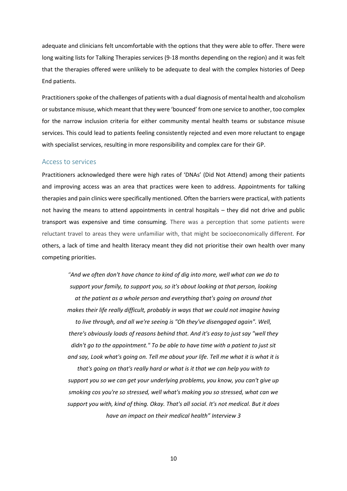adequate and clinicians felt uncomfortable with the options that they were able to offer. There were long waiting lists for Talking Therapies services (9-18 months depending on the region) and it was felt that the therapies offered were unlikely to be adequate to deal with the complex histories of Deep End patients.

Practitioners spoke of the challenges of patients with a dual diagnosis of mental health and alcoholism or substance misuse, which meant that they were 'bounced' from one service to another, too complex for the narrow inclusion criteria for either community mental health teams or substance misuse services. This could lead to patients feeling consistently rejected and even more reluctant to engage with specialist services, resulting in more responsibility and complex care for their GP.

#### <span id="page-9-0"></span>Access to services

Practitioners acknowledged there were high rates of 'DNAs' (Did Not Attend) among their patients and improving access was an area that practices were keen to address. Appointments for talking therapies and pain clinics were specifically mentioned. Often the barriers were practical, with patients not having the means to attend appointments in central hospitals – they did not drive and public transport was expensive and time consuming. There was a perception that some patients were reluctant travel to areas they were unfamiliar with, that might be socioeconomically different. For others, a lack of time and health literacy meant they did not prioritise their own health over many competing priorities.

*"And we often don't have chance to kind of dig into more, well what can we do to support your family, to support you, so it's about looking at that person, looking at the patient as a whole person and everything that's going on around that makes their life really difficult, probably in ways that we could not imagine having to live through, and all we're seeing is "Oh they've disengaged again". Well, there's obviously loads of reasons behind that. And it's easy to just say "well they didn't go to the appointment." To be able to have time with a patient to just sit and say, Look what's going on. Tell me about your life. Tell me what it is what it is* 

*that's going on that's really hard or what is it that we can help you with to support you so we can get your underlying problems, you know, you can't give up smoking cos you're so stressed, well what's making you so stressed, what can we support you with, kind of thing. Okay. That's all social. It's not medical. But it does have an impact on their medical health" Interview 3*

10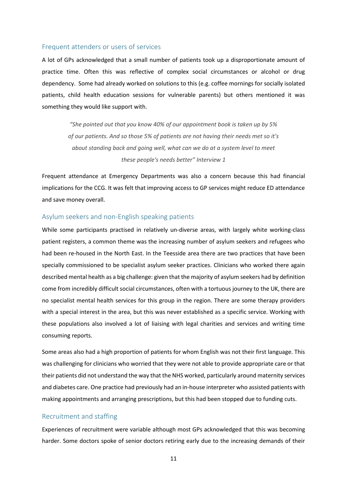#### <span id="page-10-0"></span>Frequent attenders or users of services

A lot of GPs acknowledged that a small number of patients took up a disproportionate amount of practice time. Often this was reflective of complex social circumstances or alcohol or drug dependency. Some had already worked on solutions to this (e.g. coffee mornings for socially isolated patients, child health education sessions for vulnerable parents) but others mentioned it was something they would like support with.

> *"She pointed out that you know 40% of our appointment book is taken up by 5% of our patients. And so those 5% of patients are not having their needs met so it's about standing back and going well, what can we do at a system level to meet these people's needs better" Interview 1*

Frequent attendance at Emergency Departments was also a concern because this had financial implications for the CCG. It was felt that improving access to GP services might reduce ED attendance and save money overall.

#### <span id="page-10-1"></span>Asylum seekers and non-English speaking patients

While some participants practised in relatively un-diverse areas, with largely white working-class patient registers, a common theme was the increasing number of asylum seekers and refugees who had been re-housed in the North East. In the Teesside area there are two practices that have been specially commissioned to be specialist asylum seeker practices. Clinicians who worked there again described mental health as a big challenge: given that the majority of asylum seekers had by definition come from incredibly difficult social circumstances, often with a tortuous journey to the UK, there are no specialist mental health services for this group in the region. There are some therapy providers with a special interest in the area, but this was never established as a specific service. Working with these populations also involved a lot of liaising with legal charities and services and writing time consuming reports.

Some areas also had a high proportion of patients for whom English was not their first language. This was challenging for clinicians who worried that they were not able to provide appropriate care or that their patients did not understand the way that the NHS worked, particularly around maternity services and diabetes care. One practice had previously had an in-house interpreter who assisted patients with making appointments and arranging prescriptions, but this had been stopped due to funding cuts.

#### <span id="page-10-2"></span>Recruitment and staffing

Experiences of recruitment were variable although most GPs acknowledged that this was becoming harder. Some doctors spoke of senior doctors retiring early due to the increasing demands of their

11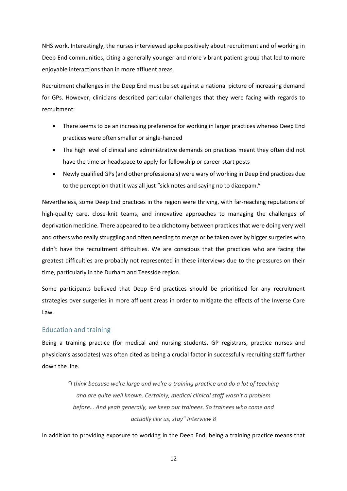NHS work. Interestingly, the nurses interviewed spoke positively about recruitment and of working in Deep End communities, citing a generally younger and more vibrant patient group that led to more enjoyable interactions than in more affluent areas.

Recruitment challenges in the Deep End must be set against a national picture of increasing demand for GPs. However, clinicians described particular challenges that they were facing with regards to recruitment:

- There seems to be an increasing preference for working in larger practices whereas Deep End practices were often smaller or single-handed
- The high level of clinical and administrative demands on practices meant they often did not have the time or headspace to apply for fellowship or career-start posts
- Newly qualified GPs(and other professionals) were wary of working in Deep End practices due to the perception that it was all just "sick notes and saying no to diazepam."

Nevertheless, some Deep End practices in the region were thriving, with far-reaching reputations of high-quality care, close-knit teams, and innovative approaches to managing the challenges of deprivation medicine. There appeared to be a dichotomy between practices that were doing very well and others who really struggling and often needing to merge or be taken over by bigger surgeries who didn't have the recruitment difficulties. We are conscious that the practices who are facing the greatest difficulties are probably not represented in these interviews due to the pressures on their time, particularly in the Durham and Teesside region.

Some participants believed that Deep End practices should be prioritised for any recruitment strategies over surgeries in more affluent areas in order to mitigate the effects of the Inverse Care Law.

#### <span id="page-11-0"></span>Education and training

Being a training practice (for medical and nursing students, GP registrars, practice nurses and physician's associates) was often cited as being a crucial factor in successfully recruiting staff further down the line.

> *"I think because we're large and we're a training practice and do a lot of teaching and are quite well known. Certainly, medical clinical staff wasn't a problem before… And yeah generally, we keep our trainees. So trainees who come and actually like us, stay" Interview 8*

In addition to providing exposure to working in the Deep End, being a training practice means that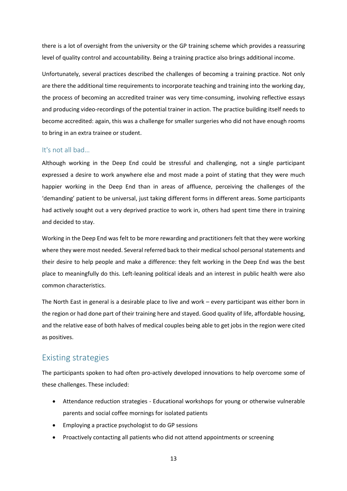there is a lot of oversight from the university or the GP training scheme which provides a reassuring level of quality control and accountability. Being a training practice also brings additional income.

Unfortunately, several practices described the challenges of becoming a training practice. Not only are there the additional time requirements to incorporate teaching and training into the working day, the process of becoming an accredited trainer was very time-consuming, involving reflective essays and producing video-recordings of the potential trainer in action. The practice building itself needs to become accredited: again, this was a challenge for smaller surgeries who did not have enough rooms to bring in an extra trainee or student.

#### <span id="page-12-0"></span>It's not all bad…

Although working in the Deep End could be stressful and challenging, not a single participant expressed a desire to work anywhere else and most made a point of stating that they were much happier working in the Deep End than in areas of affluence, perceiving the challenges of the 'demanding' patient to be universal, just taking different forms in different areas. Some participants had actively sought out a very deprived practice to work in, others had spent time there in training and decided to stay.

Working in the Deep End was felt to be more rewarding and practitioners felt that they were working where they were most needed. Several referred back to their medical school personal statements and their desire to help people and make a difference: they felt working in the Deep End was the best place to meaningfully do this. Left-leaning political ideals and an interest in public health were also common characteristics.

The North East in general is a desirable place to live and work – every participant was either born in the region or had done part of their training here and stayed. Good quality of life, affordable housing, and the relative ease of both halves of medical couples being able to get jobs in the region were cited as positives.

## <span id="page-12-1"></span>Existing strategies

The participants spoken to had often pro-actively developed innovations to help overcome some of these challenges. These included:

- Attendance reduction strategies Educational workshops for young or otherwise vulnerable parents and social coffee mornings for isolated patients
- Employing a practice psychologist to do GP sessions
- Proactively contacting all patients who did not attend appointments or screening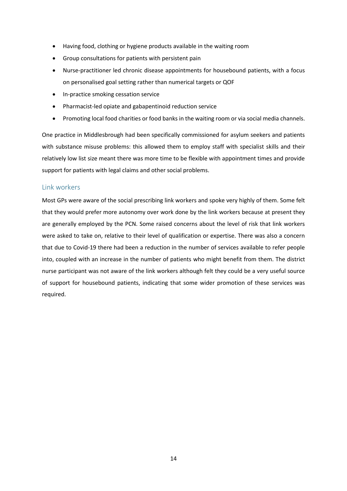- Having food, clothing or hygiene products available in the waiting room
- Group consultations for patients with persistent pain
- Nurse-practitioner led chronic disease appointments for housebound patients, with a focus on personalised goal setting rather than numerical targets or QOF
- In-practice smoking cessation service
- Pharmacist-led opiate and gabapentinoid reduction service
- Promoting local food charities or food banks in the waiting room or via social media channels.

One practice in Middlesbrough had been specifically commissioned for asylum seekers and patients with substance misuse problems: this allowed them to employ staff with specialist skills and their relatively low list size meant there was more time to be flexible with appointment times and provide support for patients with legal claims and other social problems.

#### <span id="page-13-0"></span>Link workers

Most GPs were aware of the social prescribing link workers and spoke very highly of them. Some felt that they would prefer more autonomy over work done by the link workers because at present they are generally employed by the PCN. Some raised concerns about the level of risk that link workers were asked to take on, relative to their level of qualification or expertise. There was also a concern that due to Covid-19 there had been a reduction in the number of services available to refer people into, coupled with an increase in the number of patients who might benefit from them. The district nurse participant was not aware of the link workers although felt they could be a very useful source of support for housebound patients, indicating that some wider promotion of these services was required.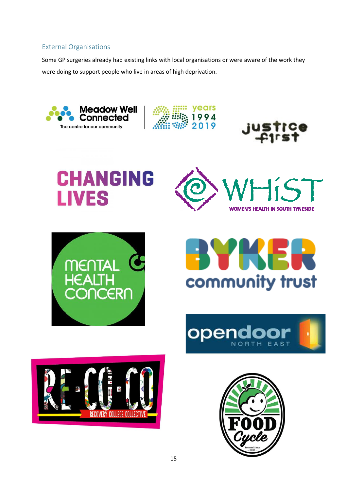## <span id="page-14-0"></span>External Organisations

Some GP surgeries already had existing links with local organisations or were aware of the work they were doing to support people who live in areas of high deprivation.





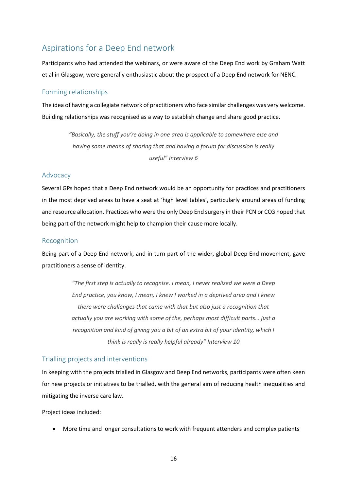## <span id="page-15-0"></span>Aspirations for a Deep End network

Participants who had attended the webinars, or were aware of the Deep End work by Graham Watt et al in Glasgow, were generally enthusiastic about the prospect of a Deep End network for NENC.

#### <span id="page-15-1"></span>Forming relationships

The idea of having a collegiate network of practitioners who face similar challenges was very welcome. Building relationships was recognised as a way to establish change and share good practice.

> *"Basically, the stuff you're doing in one area is applicable to somewhere else and having some means of sharing that and having a forum for discussion is really useful" Interview 6*

#### <span id="page-15-2"></span>Advocacy

Several GPs hoped that a Deep End network would be an opportunity for practices and practitioners in the most deprived areas to have a seat at 'high level tables', particularly around areas of funding and resource allocation. Practices who were the only Deep End surgery in their PCN or CCG hoped that being part of the network might help to champion their cause more locally.

#### <span id="page-15-3"></span>Recognition

Being part of a Deep End network, and in turn part of the wider, global Deep End movement, gave practitioners a sense of identity.

> *"The first step is actually to recognise. I mean, I never realized we were a Deep End practice, you know, I mean, I knew I worked in a deprived area and I knew there were challenges that came with that but also just a recognition that actually you are working with some of the, perhaps most difficult parts… just a recognition and kind of giving you a bit of an extra bit of your identity, which I think is really is really helpful already" Interview 10*

#### <span id="page-15-4"></span>Trialling projects and interventions

In keeping with the projects trialled in Glasgow and Deep End networks, participants were often keen for new projects or initiatives to be trialled, with the general aim of reducing health inequalities and mitigating the inverse care law.

Project ideas included:

• More time and longer consultations to work with frequent attenders and complex patients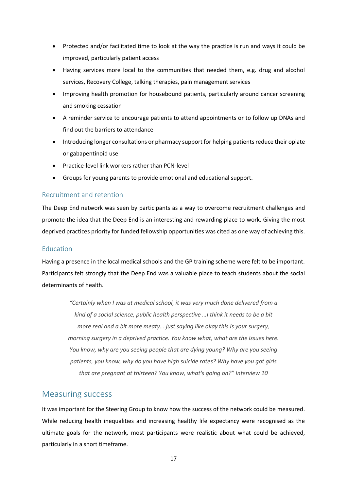- Protected and/or facilitated time to look at the way the practice is run and ways it could be improved, particularly patient access
- Having services more local to the communities that needed them, e.g. drug and alcohol services, Recovery College, talking therapies, pain management services
- Improving health promotion for housebound patients, particularly around cancer screening and smoking cessation
- A reminder service to encourage patients to attend appointments or to follow up DNAs and find out the barriers to attendance
- Introducing longer consultations or pharmacy support for helping patients reduce their opiate or gabapentinoid use
- Practice-level link workers rather than PCN-level
- Groups for young parents to provide emotional and educational support.

#### <span id="page-16-0"></span>Recruitment and retention

The Deep End network was seen by participants as a way to overcome recruitment challenges and promote the idea that the Deep End is an interesting and rewarding place to work. Giving the most deprived practices priority for funded fellowship opportunities was cited as one way of achieving this.

#### <span id="page-16-1"></span>Education

Having a presence in the local medical schools and the GP training scheme were felt to be important. Participants felt strongly that the Deep End was a valuable place to teach students about the social determinants of health.

*"Certainly when I was at medical school, it was very much done delivered from a kind of a social science, public health perspective …I think it needs to be a bit more real and a bit more meaty… just saying like okay this is your surgery, morning surgery in a deprived practice. You know what, what are the issues here. You know, why are you seeing people that are dying young? Why are you seeing patients, you know, why do you have high suicide rates? Why have you got girls that are pregnant at thirteen? You know, what's going on?" Interview 10*

#### <span id="page-16-2"></span>Measuring success

It was important for the Steering Group to know how the success of the network could be measured. While reducing health inequalities and increasing healthy life expectancy were recognised as the ultimate goals for the network, most participants were realistic about what could be achieved, particularly in a short timeframe.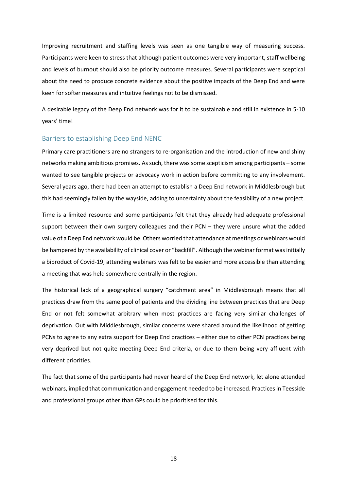Improving recruitment and staffing levels was seen as one tangible way of measuring success. Participants were keen to stress that although patient outcomes were very important, staff wellbeing and levels of burnout should also be priority outcome measures. Several participants were sceptical about the need to produce concrete evidence about the positive impacts of the Deep End and were keen for softer measures and intuitive feelings not to be dismissed.

A desirable legacy of the Deep End network was for it to be sustainable and still in existence in 5-10 years' time!

#### <span id="page-17-0"></span>Barriers to establishing Deep End NENC

Primary care practitioners are no strangers to re-organisation and the introduction of new and shiny networks making ambitious promises. As such, there was some scepticism among participants – some wanted to see tangible projects or advocacy work in action before committing to any involvement. Several years ago, there had been an attempt to establish a Deep End network in Middlesbrough but this had seemingly fallen by the wayside, adding to uncertainty about the feasibility of a new project.

Time is a limited resource and some participants felt that they already had adequate professional support between their own surgery colleagues and their PCN – they were unsure what the added value of a Deep End network would be. Others worried that attendance at meetings or webinars would be hampered by the availability of clinical cover or "backfill". Although the webinar format was initially a biproduct of Covid-19, attending webinars was felt to be easier and more accessible than attending a meeting that was held somewhere centrally in the region.

The historical lack of a geographical surgery "catchment area" in Middlesbrough means that all practices draw from the same pool of patients and the dividing line between practices that are Deep End or not felt somewhat arbitrary when most practices are facing very similar challenges of deprivation. Out with Middlesbrough, similar concerns were shared around the likelihood of getting PCNs to agree to any extra support for Deep End practices – either due to other PCN practices being very deprived but not quite meeting Deep End criteria, or due to them being very affluent with different priorities.

The fact that some of the participants had never heard of the Deep End network, let alone attended webinars, implied that communication and engagement needed to be increased. Practices in Teesside and professional groups other than GPs could be prioritised for this.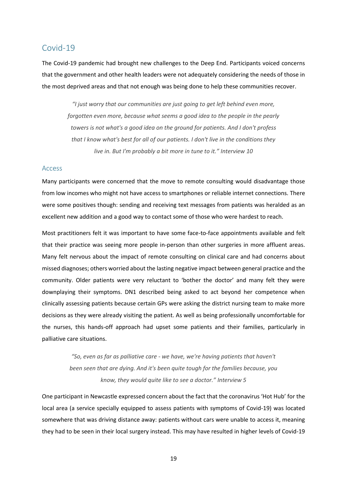#### <span id="page-18-0"></span>Covid-19

The Covid-19 pandemic had brought new challenges to the Deep End. Participants voiced concerns that the government and other health leaders were not adequately considering the needs of those in the most deprived areas and that not enough was being done to help these communities recover.

*"I just worry that our communities are just going to get left behind even more, forgotten even more, because what seems a good idea to the people in the pearly towers is not what's a good idea on the ground for patients. And I don't profess that I know what's best for all of our patients. I don't live in the conditions they live in. But I'm probably a bit more in tune to it." Interview 10*

#### <span id="page-18-1"></span>Access

Many participants were concerned that the move to remote consulting would disadvantage those from low incomes who might not have access to smartphones or reliable internet connections. There were some positives though: sending and receiving text messages from patients was heralded as an excellent new addition and a good way to contact some of those who were hardest to reach.

Most practitioners felt it was important to have some face-to-face appointments available and felt that their practice was seeing more people in-person than other surgeries in more affluent areas. Many felt nervous about the impact of remote consulting on clinical care and had concerns about missed diagnoses; others worried about the lasting negative impact between general practice and the community. Older patients were very reluctant to 'bother the doctor' and many felt they were downplaying their symptoms. DN1 described being asked to act beyond her competence when clinically assessing patients because certain GPs were asking the district nursing team to make more decisions as they were already visiting the patient. As well as being professionally uncomfortable for the nurses, this hands-off approach had upset some patients and their families, particularly in palliative care situations.

> *"So, even as far as palliative care - we have, we're having patients that haven't been seen that are dying. And it's been quite tough for the families because, you know, they would quite like to see a doctor." Interview 5*

One participant in Newcastle expressed concern about the fact that the coronavirus 'Hot Hub' for the local area (a service specially equipped to assess patients with symptoms of Covid-19) was located somewhere that was driving distance away: patients without cars were unable to access it, meaning they had to be seen in their local surgery instead. This may have resulted in higher levels of Covid-19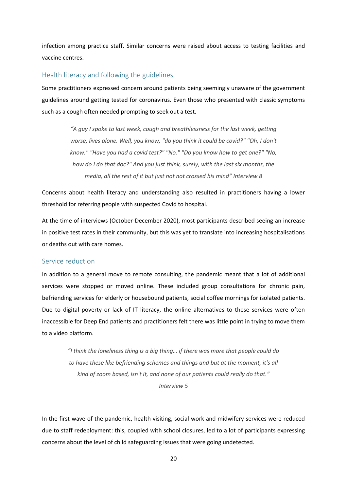infection among practice staff. Similar concerns were raised about access to testing facilities and vaccine centres.

#### <span id="page-19-0"></span>Health literacy and following the guidelines

Some practitioners expressed concern around patients being seemingly unaware of the government guidelines around getting tested for coronavirus. Even those who presented with classic symptoms such as a cough often needed prompting to seek out a test.

> *"A guy I spoke to last week, cough and breathlessness for the last week, getting worse, lives alone. Well, you know, "do you think it could be covid?" "Oh, I don't know." "Have you had a covid test?" "No." "Do you know how to get one?" "No, how do I do that doc?" And you just think, surely, with the last six months, the media, all the rest of it but just not not crossed his mind" Interview 8*

Concerns about health literacy and understanding also resulted in practitioners having a lower threshold for referring people with suspected Covid to hospital.

At the time of interviews (October-December 2020), most participants described seeing an increase in positive test rates in their community, but this was yet to translate into increasing hospitalisations or deaths out with care homes.

#### <span id="page-19-1"></span>Service reduction

In addition to a general move to remote consulting, the pandemic meant that a lot of additional services were stopped or moved online. These included group consultations for chronic pain, befriending services for elderly or housebound patients, social coffee mornings for isolated patients. Due to digital poverty or lack of IT literacy, the online alternatives to these services were often inaccessible for Deep End patients and practitioners felt there was little point in trying to move them to a video platform.

*"I think the loneliness thing is a big thing… if there was more that people could do to have these like befriending schemes and things and but at the moment, it's all kind of zoom based, isn't it, and none of our patients could really do that." Interview 5*

In the first wave of the pandemic, health visiting, social work and midwifery services were reduced due to staff redeployment: this, coupled with school closures, led to a lot of participants expressing concerns about the level of child safeguarding issues that were going undetected.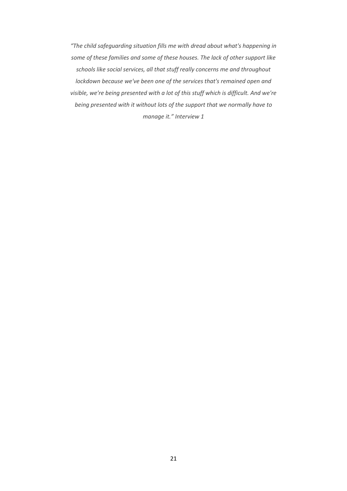*"The child safeguarding situation fills me with dread about what's happening in some of these families and some of these houses. The lack of other support like schools like social services, all that stuff really concerns me and throughout lockdown because we've been one of the services that's remained open and visible, we're being presented with a lot of this stuff which is difficult. And we're being presented with it without lots of the support that we normally have to manage it." Interview 1*